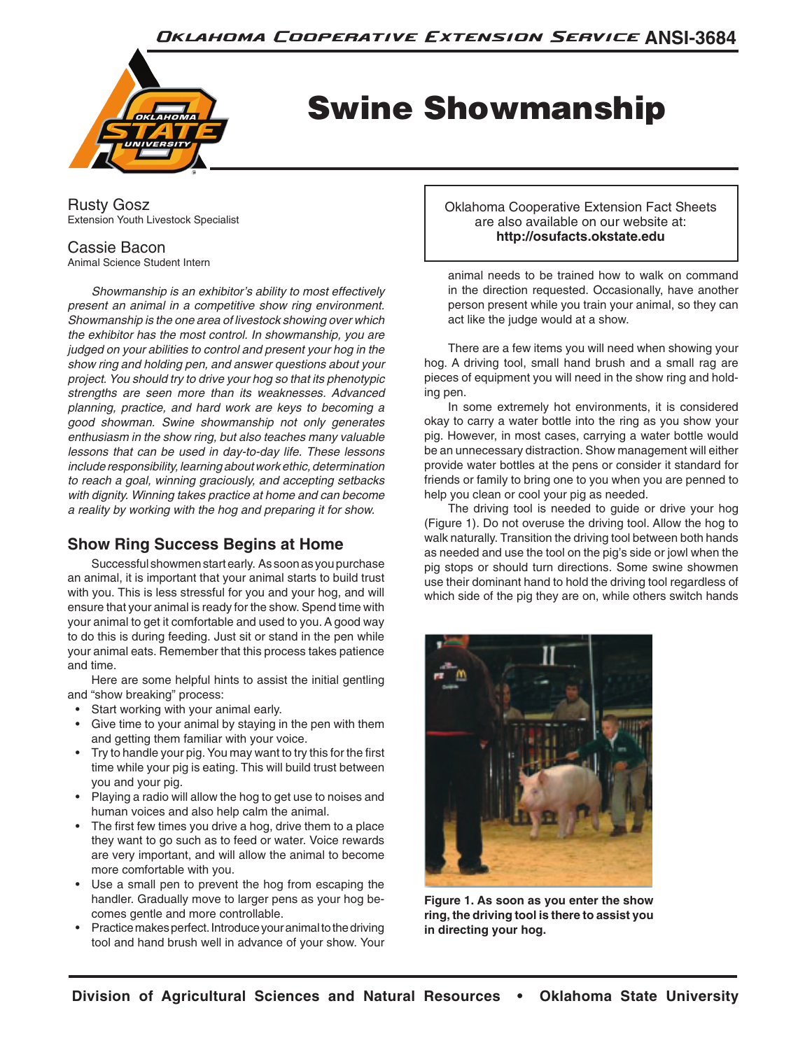

# Swine Showmanship

Rusty Gosz Extension Youth Livestock Specialist

## Cassie Bacon

Animal Science Student Intern

*Showmanship is an exhibitor's ability to most effectively present an animal in a competitive show ring environment. Showmanship is the one area of livestock showing over which the exhibitor has the most control. In showmanship, you are judged on your abilities to control and present your hog in the show ring and holding pen, and answer questions about your project. You should try to drive your hog so that its phenotypic strengths are seen more than its weaknesses. Advanced planning, practice, and hard work are keys to becoming a good showman. Swine showmanship not only generates enthusiasm in the show ring, but also teaches many valuable lessons that can be used in day-to-day life. These lessons include responsibility, learning about work ethic, determination to reach a goal, winning graciously, and accepting setbacks with dignity. Winning takes practice at home and can become a reality by working with the hog and preparing it for show.*

# **Show Ring Success Begins at Home**

Successful showmen start early. As soon as you purchase an animal, it is important that your animal starts to build trust with you. This is less stressful for you and your hog, and will ensure that your animal is ready for the show. Spend time with your animal to get it comfortable and used to you. A good way to do this is during feeding. Just sit or stand in the pen while your animal eats. Remember that this process takes patience and time.

Here are some helpful hints to assist the initial gentling and "show breaking" process:

- Start working with your animal early.
- Give time to your animal by staying in the pen with them and getting them familiar with your voice.
- Try to handle your pig. You may want to try this for the first time while your pig is eating. This will build trust between you and your pig.
- Playing a radio will allow the hog to get use to noises and human voices and also help calm the animal.
- The first few times you drive a hog, drive them to a place they want to go such as to feed or water. Voice rewards are very important, and will allow the animal to become more comfortable with you.
- Use a small pen to prevent the hog from escaping the handler. Gradually move to larger pens as your hog becomes gentle and more controllable.
- Practice makes perfect. Introduce your animal to the driving tool and hand brush well in advance of your show. Your

Oklahoma Cooperative Extension Fact Sheets are also available on our website at: **http://osufacts.okstate.edu**

animal needs to be trained how to walk on command in the direction requested. Occasionally, have another person present while you train your animal, so they can act like the judge would at a show.

There are a few items you will need when showing your hog. A driving tool, small hand brush and a small rag are pieces of equipment you will need in the show ring and holding pen.

In some extremely hot environments, it is considered okay to carry a water bottle into the ring as you show your pig. However, in most cases, carrying a water bottle would be an unnecessary distraction. Show management will either provide water bottles at the pens or consider it standard for friends or family to bring one to you when you are penned to help you clean or cool your pig as needed.

The driving tool is needed to guide or drive your hog (Figure 1). Do not overuse the driving tool. Allow the hog to walk naturally. Transition the driving tool between both hands as needed and use the tool on the pig's side or jowl when the pig stops or should turn directions. Some swine showmen use their dominant hand to hold the driving tool regardless of which side of the pig they are on, while others switch hands



**Figure 1. As soon as you enter the show ring, the driving tool is there to assist you in directing your hog.**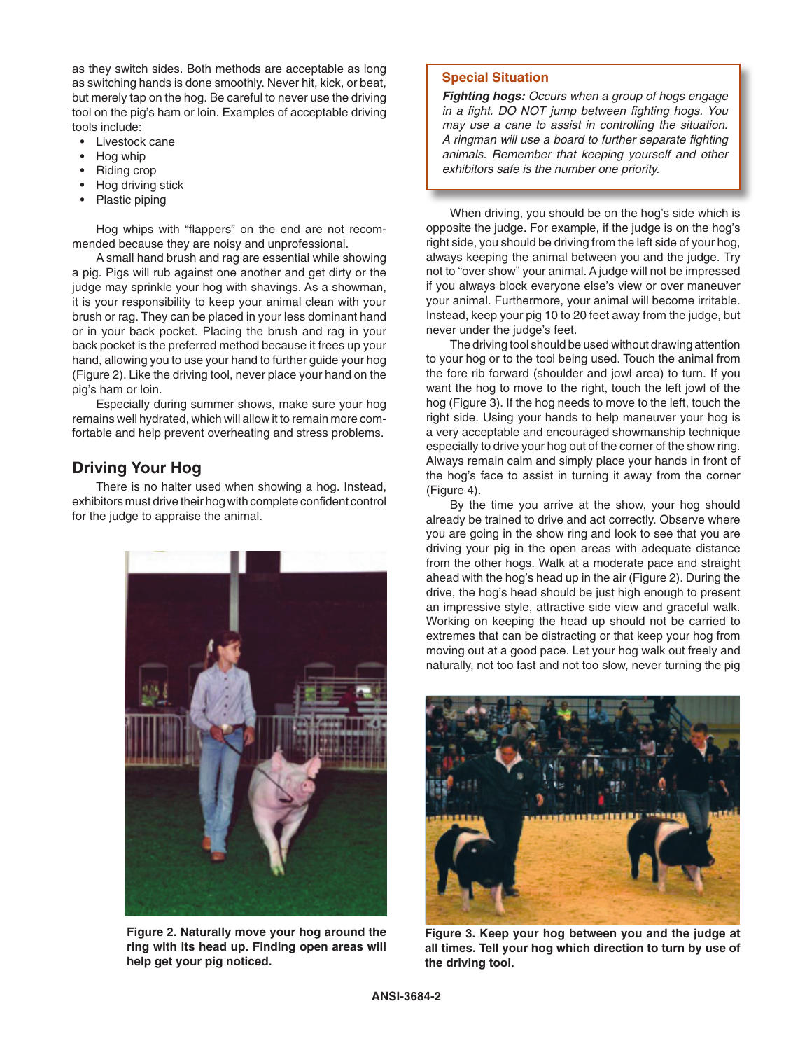as they switch sides. Both methods are acceptable as long as switching hands is done smoothly. Never hit, kick, or beat, but merely tap on the hog. Be careful to never use the driving tool on the pig's ham or loin. Examples of acceptable driving tools include:

- Livestock cane
- Hog whip
- Riding crop
- Hog driving stick
- Plastic piping

Hog whips with "flappers" on the end are not recommended because they are noisy and unprofessional.

A small hand brush and rag are essential while showing a pig. Pigs will rub against one another and get dirty or the judge may sprinkle your hog with shavings. As a showman, it is your responsibility to keep your animal clean with your brush or rag. They can be placed in your less dominant hand or in your back pocket. Placing the brush and rag in your back pocket is the preferred method because it frees up your hand, allowing you to use your hand to further guide your hog (Figure 2). Like the driving tool, never place your hand on the pig's ham or loin.

Especially during summer shows, make sure your hog remains well hydrated, which will allow it to remain more comfortable and help prevent overheating and stress problems.

# **Driving Your Hog**

There is no halter used when showing a hog. Instead, exhibitors must drive their hog with complete confident control for the judge to appraise the animal.



**Figure 2. Naturally move your hog around the ring with its head up. Finding open areas will help get your pig noticed.**

#### **Special Situation**

*Fighting hogs: Occurs when a group of hogs engage in a fight. DO NOT jump between fighting hogs. You may use a cane to assist in controlling the situation. A ringman will use a board to further separate fighting animals. Remember that keeping yourself and other exhibitors safe is the number one priority.*

When driving, you should be on the hog's side which is opposite the judge. For example, if the judge is on the hog's right side, you should be driving from the left side of your hog, always keeping the animal between you and the judge. Try not to "over show" your animal. A judge will not be impressed if you always block everyone else's view or over maneuver your animal. Furthermore, your animal will become irritable. Instead, keep your pig 10 to 20 feet away from the judge, but never under the judge's feet.

The driving tool should be used without drawing attention to your hog or to the tool being used. Touch the animal from the fore rib forward (shoulder and jowl area) to turn. If you want the hog to move to the right, touch the left jowl of the hog (Figure 3). If the hog needs to move to the left, touch the right side. Using your hands to help maneuver your hog is a very acceptable and encouraged showmanship technique especially to drive your hog out of the corner of the show ring. Always remain calm and simply place your hands in front of the hog's face to assist in turning it away from the corner (Figure 4).

By the time you arrive at the show, your hog should already be trained to drive and act correctly. Observe where you are going in the show ring and look to see that you are driving your pig in the open areas with adequate distance from the other hogs. Walk at a moderate pace and straight ahead with the hog's head up in the air (Figure 2). During the drive, the hog's head should be just high enough to present an impressive style, attractive side view and graceful walk. Working on keeping the head up should not be carried to extremes that can be distracting or that keep your hog from moving out at a good pace. Let your hog walk out freely and naturally, not too fast and not too slow, never turning the pig



**Figure 3. Keep your hog between you and the judge at all times. Tell your hog which direction to turn by use of the driving tool.**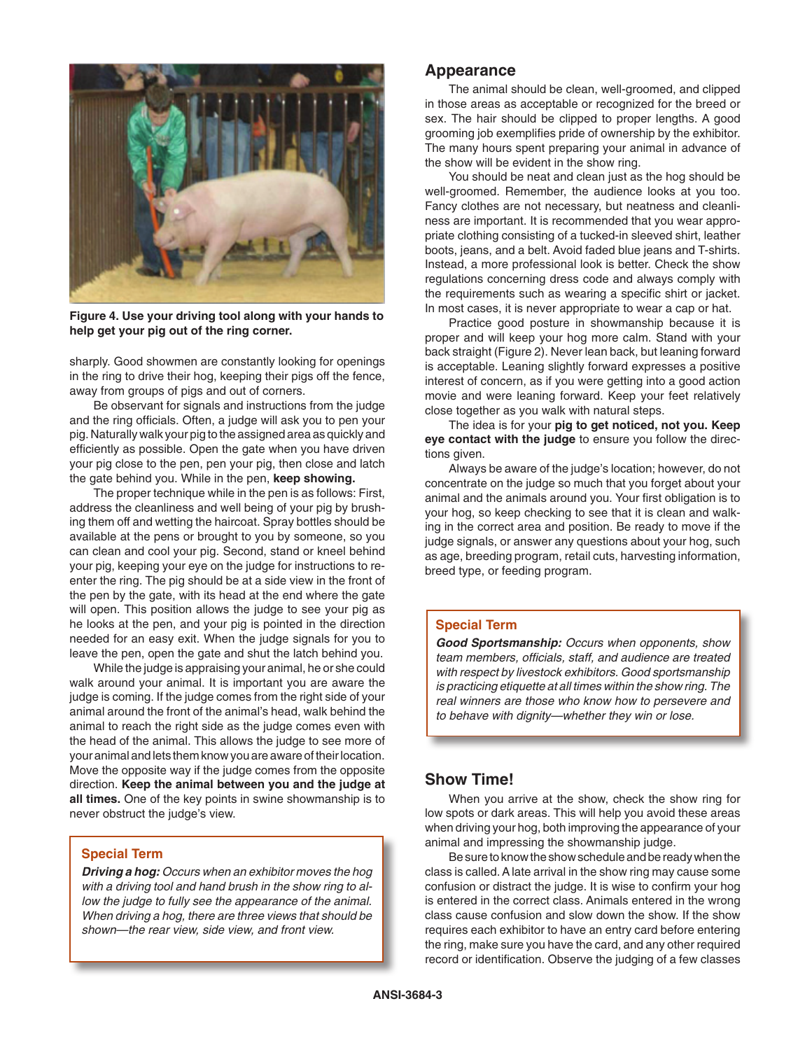

**Figure 4. Use your driving tool along with your hands to help get your pig out of the ring corner.**

sharply. Good showmen are constantly looking for openings in the ring to drive their hog, keeping their pigs off the fence, away from groups of pigs and out of corners.

Be observant for signals and instructions from the judge and the ring officials. Often, a judge will ask you to pen your pig. Naturally walk your pig to the assigned area as quickly and efficiently as possible. Open the gate when you have driven your pig close to the pen, pen your pig, then close and latch the gate behind you. While in the pen, **keep showing.**

The proper technique while in the pen is as follows: First, address the cleanliness and well being of your pig by brushing them off and wetting the haircoat. Spray bottles should be available at the pens or brought to you by someone, so you can clean and cool your pig. Second, stand or kneel behind your pig, keeping your eye on the judge for instructions to reenter the ring. The pig should be at a side view in the front of the pen by the gate, with its head at the end where the gate will open. This position allows the judge to see your pig as he looks at the pen, and your pig is pointed in the direction needed for an easy exit. When the judge signals for you to leave the pen, open the gate and shut the latch behind you.

While the judge is appraising your animal, he or she could walk around your animal. It is important you are aware the judge is coming. If the judge comes from the right side of your animal around the front of the animal's head, walk behind the animal to reach the right side as the judge comes even with the head of the animal. This allows the judge to see more of your animal and lets them know you are aware of their location. Move the opposite way if the judge comes from the opposite direction. **Keep the animal between you and the judge at all times.** One of the key points in swine showmanship is to never obstruct the judge's view.

#### **Special Term**

*Driving a hog: Occurs when an exhibitor moves the hog with a driving tool and hand brush in the show ring to allow the judge to fully see the appearance of the animal. When driving a hog, there are three views that should be shown—the rear view, side view, and front view.*

#### **Appearance**

The animal should be clean, well-groomed, and clipped in those areas as acceptable or recognized for the breed or sex. The hair should be clipped to proper lengths. A good grooming job exemplifies pride of ownership by the exhibitor. The many hours spent preparing your animal in advance of the show will be evident in the show ring.

You should be neat and clean just as the hog should be well-groomed. Remember, the audience looks at you too. Fancy clothes are not necessary, but neatness and cleanliness are important. It is recommended that you wear appropriate clothing consisting of a tucked-in sleeved shirt, leather boots, jeans, and a belt. Avoid faded blue jeans and T-shirts. Instead, a more professional look is better. Check the show regulations concerning dress code and always comply with the requirements such as wearing a specific shirt or jacket. In most cases, it is never appropriate to wear a cap or hat.

Practice good posture in showmanship because it is proper and will keep your hog more calm. Stand with your back straight (Figure 2). Never lean back, but leaning forward is acceptable. Leaning slightly forward expresses a positive interest of concern, as if you were getting into a good action movie and were leaning forward. Keep your feet relatively close together as you walk with natural steps.

The idea is for your **pig to get noticed, not you. Keep eye contact with the judge** to ensure you follow the directions given.

Always be aware of the judge's location; however, do not concentrate on the judge so much that you forget about your animal and the animals around you. Your first obligation is to your hog, so keep checking to see that it is clean and walking in the correct area and position. Be ready to move if the judge signals, or answer any questions about your hog, such as age, breeding program, retail cuts, harvesting information, breed type, or feeding program.

#### **Special Term**

*Good Sportsmanship: Occurs when opponents, show team members, officials, staff, and audience are treated with respect by livestock exhibitors. Good sportsmanship is practicing etiquette at all times within the show ring. The real winners are those who know how to persevere and to behave with dignity—whether they win or lose.*

### **Show Time!**

When you arrive at the show, check the show ring for low spots or dark areas. This will help you avoid these areas when driving your hog, both improving the appearance of your animal and impressing the showmanship judge.

Be sure to know the show schedule and be ready when the class is called. A late arrival in the show ring may cause some confusion or distract the judge. It is wise to confirm your hog is entered in the correct class. Animals entered in the wrong class cause confusion and slow down the show. If the show requires each exhibitor to have an entry card before entering the ring, make sure you have the card, and any other required record or identification. Observe the judging of a few classes